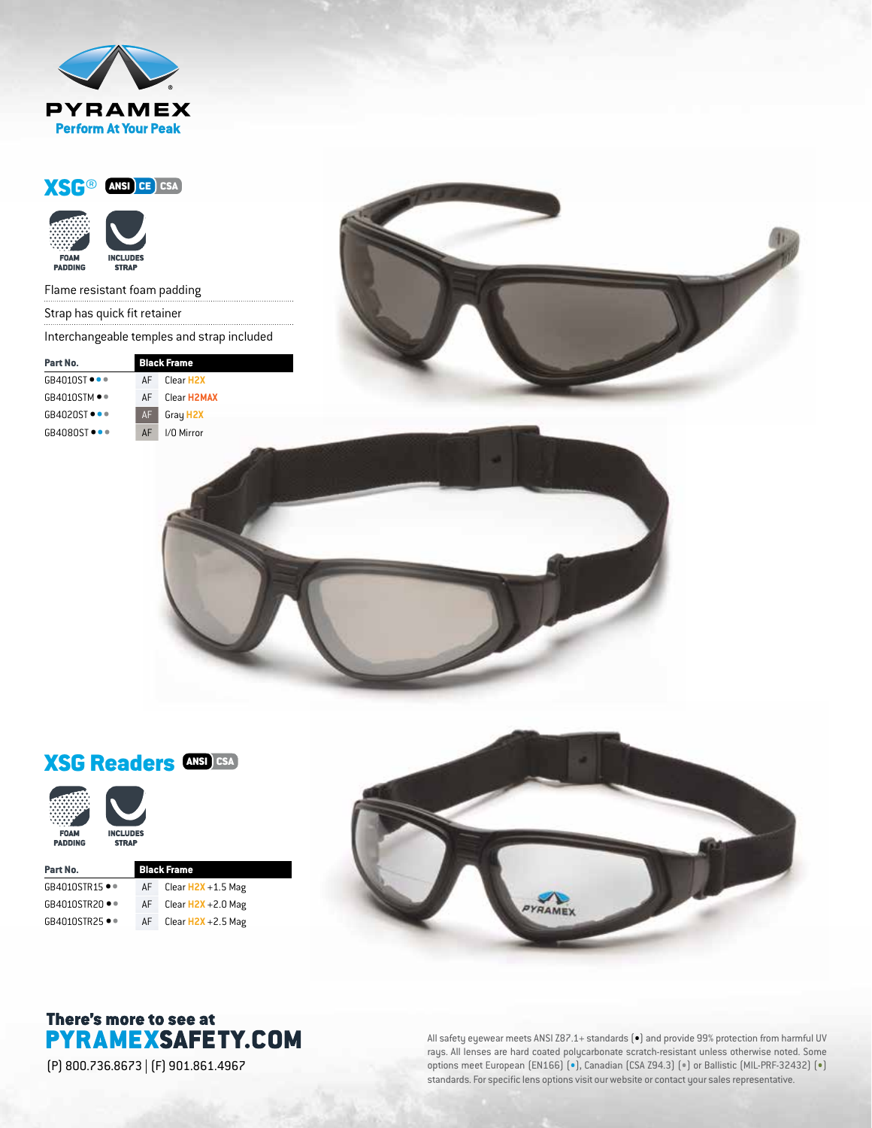







# XSG Readers ANSI CSA



| Part No.              | <b>Black Frame</b> |                       |
|-----------------------|--------------------|-----------------------|
| $GB4010STR15 \bullet$ | AF                 | Clear $H2X + 1.5$ Mag |
| GB4010STR20 ••        | AF                 | Clear $H2X + 2.0$ Mag |
| GB4010STR25 ●●        | AF                 | Clear $H2X + 2.5$ Mag |



## There's more to see at **PYRAMEXSAFETY.COM**

(P) 800.736.8673 | (F) 901.861.4967

All safety eyewear meets ANSI Z87.1+ standards  $\left(\bullet\right)$  and provide 99% protection from harmful UV rays. All lenses are hard coated polycarbonate scratch-resistant unless otherwise noted. Some options meet European (EN166) (•), Canadian (CSA Z94.3) (•) or Ballistic (MIL-PRF-32432) (•) standards. For specific lens options visit our website or contact your sales representative.